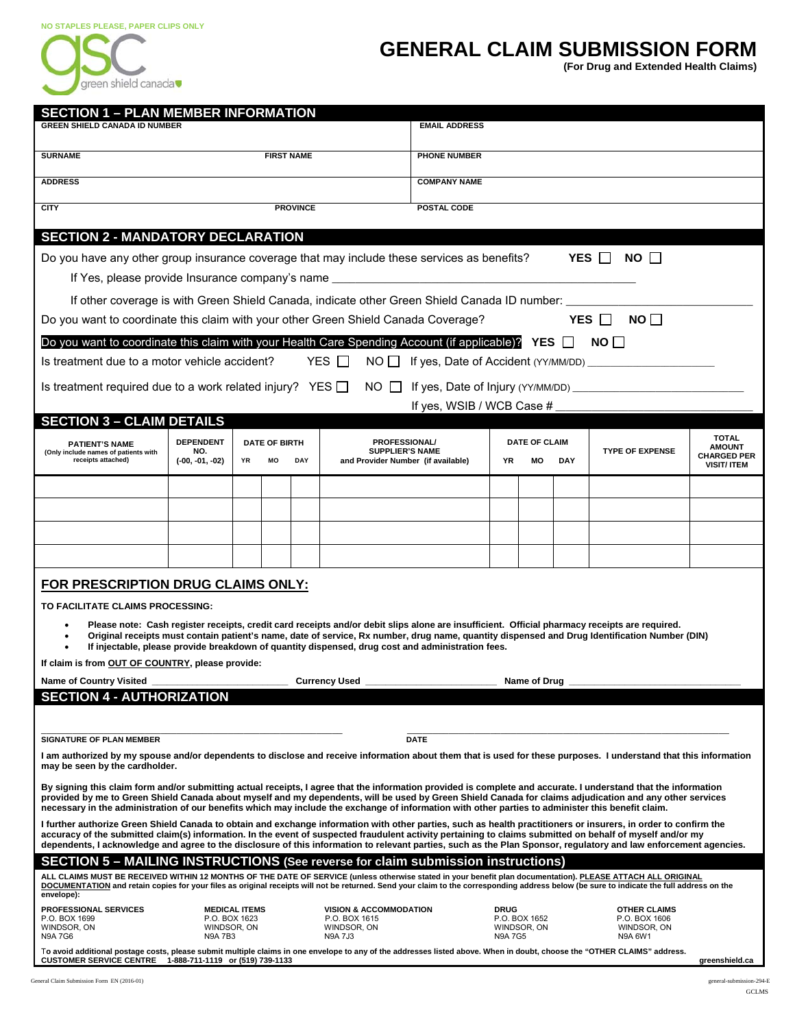

## **GENERAL CLAIM SUBMISSION FORM**

**(For Drug and Extended Health Claims)** 

|                                                                                                                                                                                                                                                                                                                                                                                                                                                                                                                                                                                                                                                                                                                                                                                                                                                                                                                                                                                                                                                                                                                                                                                                                                                                                                                                                                                                                                                                                                                                                                                                                                                                                                                                |                                                |                                  | <b>SECTION 1 - PLAN MEMBER INFORMATION</b> |                                                                                                   | <b>EMAIL ADDRESS</b>      |                     |                              |     |                                                                                                                                                                                                                                                                                                |                                     |  |  |
|--------------------------------------------------------------------------------------------------------------------------------------------------------------------------------------------------------------------------------------------------------------------------------------------------------------------------------------------------------------------------------------------------------------------------------------------------------------------------------------------------------------------------------------------------------------------------------------------------------------------------------------------------------------------------------------------------------------------------------------------------------------------------------------------------------------------------------------------------------------------------------------------------------------------------------------------------------------------------------------------------------------------------------------------------------------------------------------------------------------------------------------------------------------------------------------------------------------------------------------------------------------------------------------------------------------------------------------------------------------------------------------------------------------------------------------------------------------------------------------------------------------------------------------------------------------------------------------------------------------------------------------------------------------------------------------------------------------------------------|------------------------------------------------|----------------------------------|--------------------------------------------|---------------------------------------------------------------------------------------------------|---------------------------|---------------------|------------------------------|-----|------------------------------------------------------------------------------------------------------------------------------------------------------------------------------------------------------------------------------------------------------------------------------------------------|-------------------------------------|--|--|
|                                                                                                                                                                                                                                                                                                                                                                                                                                                                                                                                                                                                                                                                                                                                                                                                                                                                                                                                                                                                                                                                                                                                                                                                                                                                                                                                                                                                                                                                                                                                                                                                                                                                                                                                | <b>GREEN SHIELD CANADA ID NUMBER</b>           |                                  |                                            |                                                                                                   |                           |                     |                              |     |                                                                                                                                                                                                                                                                                                |                                     |  |  |
| <b>SURNAME</b>                                                                                                                                                                                                                                                                                                                                                                                                                                                                                                                                                                                                                                                                                                                                                                                                                                                                                                                                                                                                                                                                                                                                                                                                                                                                                                                                                                                                                                                                                                                                                                                                                                                                                                                 | <b>FIRST NAME</b>                              |                                  |                                            |                                                                                                   |                           | <b>PHONE NUMBER</b> |                              |     |                                                                                                                                                                                                                                                                                                |                                     |  |  |
| <b>ADDRESS</b>                                                                                                                                                                                                                                                                                                                                                                                                                                                                                                                                                                                                                                                                                                                                                                                                                                                                                                                                                                                                                                                                                                                                                                                                                                                                                                                                                                                                                                                                                                                                                                                                                                                                                                                 |                                                |                                  |                                            |                                                                                                   |                           | <b>COMPANY NAME</b> |                              |     |                                                                                                                                                                                                                                                                                                |                                     |  |  |
| <b>CITY</b>                                                                                                                                                                                                                                                                                                                                                                                                                                                                                                                                                                                                                                                                                                                                                                                                                                                                                                                                                                                                                                                                                                                                                                                                                                                                                                                                                                                                                                                                                                                                                                                                                                                                                                                    | <b>PROVINCE</b>                                |                                  |                                            |                                                                                                   |                           | POSTAL CODE         |                              |     |                                                                                                                                                                                                                                                                                                |                                     |  |  |
| <b>SECTION 2 - MANDATORY DECLARATION</b>                                                                                                                                                                                                                                                                                                                                                                                                                                                                                                                                                                                                                                                                                                                                                                                                                                                                                                                                                                                                                                                                                                                                                                                                                                                                                                                                                                                                                                                                                                                                                                                                                                                                                       |                                                |                                  |                                            |                                                                                                   |                           |                     |                              |     |                                                                                                                                                                                                                                                                                                |                                     |  |  |
| Do you have any other group insurance coverage that may include these services as benefits?                                                                                                                                                                                                                                                                                                                                                                                                                                                                                                                                                                                                                                                                                                                                                                                                                                                                                                                                                                                                                                                                                                                                                                                                                                                                                                                                                                                                                                                                                                                                                                                                                                    |                                                |                                  |                                            |                                                                                                   |                           |                     |                              |     | YES $\Box$<br>NO II                                                                                                                                                                                                                                                                            |                                     |  |  |
| If Yes, please provide Insurance company's name ________________________________                                                                                                                                                                                                                                                                                                                                                                                                                                                                                                                                                                                                                                                                                                                                                                                                                                                                                                                                                                                                                                                                                                                                                                                                                                                                                                                                                                                                                                                                                                                                                                                                                                               |                                                |                                  |                                            |                                                                                                   |                           |                     |                              |     |                                                                                                                                                                                                                                                                                                |                                     |  |  |
| If other coverage is with Green Shield Canada, indicate other Green Shield Canada ID number:                                                                                                                                                                                                                                                                                                                                                                                                                                                                                                                                                                                                                                                                                                                                                                                                                                                                                                                                                                                                                                                                                                                                                                                                                                                                                                                                                                                                                                                                                                                                                                                                                                   |                                                |                                  |                                            |                                                                                                   |                           |                     |                              |     |                                                                                                                                                                                                                                                                                                |                                     |  |  |
| Do you want to coordinate this claim with your other Green Shield Canada Coverage?                                                                                                                                                                                                                                                                                                                                                                                                                                                                                                                                                                                                                                                                                                                                                                                                                                                                                                                                                                                                                                                                                                                                                                                                                                                                                                                                                                                                                                                                                                                                                                                                                                             |                                                |                                  |                                            |                                                                                                   |                           |                     |                              |     | YES $\Box$<br>NO I I                                                                                                                                                                                                                                                                           |                                     |  |  |
|                                                                                                                                                                                                                                                                                                                                                                                                                                                                                                                                                                                                                                                                                                                                                                                                                                                                                                                                                                                                                                                                                                                                                                                                                                                                                                                                                                                                                                                                                                                                                                                                                                                                                                                                |                                                |                                  |                                            |                                                                                                   |                           |                     |                              |     |                                                                                                                                                                                                                                                                                                |                                     |  |  |
| Do you want to coordinate this claim with your Health Care Spending Account (if applicable)? YES $\Box$ NO $\Box$                                                                                                                                                                                                                                                                                                                                                                                                                                                                                                                                                                                                                                                                                                                                                                                                                                                                                                                                                                                                                                                                                                                                                                                                                                                                                                                                                                                                                                                                                                                                                                                                              |                                                |                                  |                                            | YES $\Box$                                                                                        |                           |                     |                              |     |                                                                                                                                                                                                                                                                                                |                                     |  |  |
| Is treatment due to a motor vehicle accident?                                                                                                                                                                                                                                                                                                                                                                                                                                                                                                                                                                                                                                                                                                                                                                                                                                                                                                                                                                                                                                                                                                                                                                                                                                                                                                                                                                                                                                                                                                                                                                                                                                                                                  |                                                |                                  |                                            |                                                                                                   |                           |                     |                              |     |                                                                                                                                                                                                                                                                                                |                                     |  |  |
| Is treatment required due to a work related injury? YES $\Box$                                                                                                                                                                                                                                                                                                                                                                                                                                                                                                                                                                                                                                                                                                                                                                                                                                                                                                                                                                                                                                                                                                                                                                                                                                                                                                                                                                                                                                                                                                                                                                                                                                                                 |                                                |                                  |                                            | NO $\Box$                                                                                         |                           |                     |                              |     |                                                                                                                                                                                                                                                                                                |                                     |  |  |
| <b>SECTION 3 - CLAIM DETAILS</b>                                                                                                                                                                                                                                                                                                                                                                                                                                                                                                                                                                                                                                                                                                                                                                                                                                                                                                                                                                                                                                                                                                                                                                                                                                                                                                                                                                                                                                                                                                                                                                                                                                                                                               |                                                |                                  |                                            |                                                                                                   | If yes, WSIB / WCB Case # |                     |                              |     |                                                                                                                                                                                                                                                                                                |                                     |  |  |
|                                                                                                                                                                                                                                                                                                                                                                                                                                                                                                                                                                                                                                                                                                                                                                                                                                                                                                                                                                                                                                                                                                                                                                                                                                                                                                                                                                                                                                                                                                                                                                                                                                                                                                                                | <b>DEPENDENT</b>                               |                                  |                                            | <b>PROFESSIONAL/</b>                                                                              |                           |                     | <b>DATE OF CLAIM</b>         |     |                                                                                                                                                                                                                                                                                                | <b>TOTAL</b>                        |  |  |
| <b>PATIENT'S NAME</b><br>(Only include names of patients with<br>receipts attached)                                                                                                                                                                                                                                                                                                                                                                                                                                                                                                                                                                                                                                                                                                                                                                                                                                                                                                                                                                                                                                                                                                                                                                                                                                                                                                                                                                                                                                                                                                                                                                                                                                            | NO.<br>$(-00, -01, -02)$                       | <b>DATE OF BIRTH</b><br>YR<br>MO | DAY                                        | <b>SUPPLIER'S NAME</b><br>and Provider Number (if available)                                      |                           | YR                  | МO                           | DAY | <b>TYPE OF EXPENSE</b>                                                                                                                                                                                                                                                                         | <b>AMOUNT</b><br><b>CHARGED PER</b> |  |  |
|                                                                                                                                                                                                                                                                                                                                                                                                                                                                                                                                                                                                                                                                                                                                                                                                                                                                                                                                                                                                                                                                                                                                                                                                                                                                                                                                                                                                                                                                                                                                                                                                                                                                                                                                |                                                |                                  |                                            |                                                                                                   |                           |                     |                              |     |                                                                                                                                                                                                                                                                                                | <b>VISIT/ ITEM</b>                  |  |  |
|                                                                                                                                                                                                                                                                                                                                                                                                                                                                                                                                                                                                                                                                                                                                                                                                                                                                                                                                                                                                                                                                                                                                                                                                                                                                                                                                                                                                                                                                                                                                                                                                                                                                                                                                |                                                |                                  |                                            |                                                                                                   |                           |                     |                              |     |                                                                                                                                                                                                                                                                                                |                                     |  |  |
|                                                                                                                                                                                                                                                                                                                                                                                                                                                                                                                                                                                                                                                                                                                                                                                                                                                                                                                                                                                                                                                                                                                                                                                                                                                                                                                                                                                                                                                                                                                                                                                                                                                                                                                                |                                                |                                  |                                            |                                                                                                   |                           |                     |                              |     |                                                                                                                                                                                                                                                                                                |                                     |  |  |
|                                                                                                                                                                                                                                                                                                                                                                                                                                                                                                                                                                                                                                                                                                                                                                                                                                                                                                                                                                                                                                                                                                                                                                                                                                                                                                                                                                                                                                                                                                                                                                                                                                                                                                                                |                                                |                                  |                                            |                                                                                                   |                           |                     |                              |     |                                                                                                                                                                                                                                                                                                |                                     |  |  |
|                                                                                                                                                                                                                                                                                                                                                                                                                                                                                                                                                                                                                                                                                                                                                                                                                                                                                                                                                                                                                                                                                                                                                                                                                                                                                                                                                                                                                                                                                                                                                                                                                                                                                                                                |                                                |                                  |                                            |                                                                                                   |                           |                     |                              |     |                                                                                                                                                                                                                                                                                                |                                     |  |  |
|                                                                                                                                                                                                                                                                                                                                                                                                                                                                                                                                                                                                                                                                                                                                                                                                                                                                                                                                                                                                                                                                                                                                                                                                                                                                                                                                                                                                                                                                                                                                                                                                                                                                                                                                |                                                |                                  |                                            |                                                                                                   |                           |                     |                              |     |                                                                                                                                                                                                                                                                                                |                                     |  |  |
| FOR PRESCRIPTION DRUG CLAIMS ONLY:<br>TO FACILITATE CLAIMS PROCESSING:<br>If claim is from OUT OF COUNTRY, please provide:                                                                                                                                                                                                                                                                                                                                                                                                                                                                                                                                                                                                                                                                                                                                                                                                                                                                                                                                                                                                                                                                                                                                                                                                                                                                                                                                                                                                                                                                                                                                                                                                     |                                                |                                  |                                            | If injectable, please provide breakdown of quantity dispensed, drug cost and administration fees. |                           |                     |                              |     | Please note: Cash register receipts, credit card receipts and/or debit slips alone are insufficient. Official pharmacy receipts are required.<br>Original receipts must contain patient's name, date of service, Rx number, drug name, quantity dispensed and Drug Identification Number (DIN) |                                     |  |  |
| <b>Name of Country Visited</b>                                                                                                                                                                                                                                                                                                                                                                                                                                                                                                                                                                                                                                                                                                                                                                                                                                                                                                                                                                                                                                                                                                                                                                                                                                                                                                                                                                                                                                                                                                                                                                                                                                                                                                 |                                                |                                  |                                            | <b>Currency Used</b>                                                                              |                           |                     | Name of Drug                 |     |                                                                                                                                                                                                                                                                                                |                                     |  |  |
|                                                                                                                                                                                                                                                                                                                                                                                                                                                                                                                                                                                                                                                                                                                                                                                                                                                                                                                                                                                                                                                                                                                                                                                                                                                                                                                                                                                                                                                                                                                                                                                                                                                                                                                                |                                                |                                  |                                            |                                                                                                   |                           |                     |                              |     |                                                                                                                                                                                                                                                                                                |                                     |  |  |
|                                                                                                                                                                                                                                                                                                                                                                                                                                                                                                                                                                                                                                                                                                                                                                                                                                                                                                                                                                                                                                                                                                                                                                                                                                                                                                                                                                                                                                                                                                                                                                                                                                                                                                                                |                                                |                                  |                                            |                                                                                                   |                           |                     |                              |     |                                                                                                                                                                                                                                                                                                |                                     |  |  |
|                                                                                                                                                                                                                                                                                                                                                                                                                                                                                                                                                                                                                                                                                                                                                                                                                                                                                                                                                                                                                                                                                                                                                                                                                                                                                                                                                                                                                                                                                                                                                                                                                                                                                                                                |                                                |                                  |                                            |                                                                                                   | <b>DATE</b>               |                     |                              |     |                                                                                                                                                                                                                                                                                                |                                     |  |  |
|                                                                                                                                                                                                                                                                                                                                                                                                                                                                                                                                                                                                                                                                                                                                                                                                                                                                                                                                                                                                                                                                                                                                                                                                                                                                                                                                                                                                                                                                                                                                                                                                                                                                                                                                |                                                |                                  |                                            |                                                                                                   |                           |                     |                              |     |                                                                                                                                                                                                                                                                                                |                                     |  |  |
|                                                                                                                                                                                                                                                                                                                                                                                                                                                                                                                                                                                                                                                                                                                                                                                                                                                                                                                                                                                                                                                                                                                                                                                                                                                                                                                                                                                                                                                                                                                                                                                                                                                                                                                                |                                                |                                  |                                            |                                                                                                   |                           |                     |                              |     |                                                                                                                                                                                                                                                                                                |                                     |  |  |
|                                                                                                                                                                                                                                                                                                                                                                                                                                                                                                                                                                                                                                                                                                                                                                                                                                                                                                                                                                                                                                                                                                                                                                                                                                                                                                                                                                                                                                                                                                                                                                                                                                                                                                                                |                                                |                                  |                                            |                                                                                                   |                           |                     |                              |     |                                                                                                                                                                                                                                                                                                |                                     |  |  |
|                                                                                                                                                                                                                                                                                                                                                                                                                                                                                                                                                                                                                                                                                                                                                                                                                                                                                                                                                                                                                                                                                                                                                                                                                                                                                                                                                                                                                                                                                                                                                                                                                                                                                                                                |                                                |                                  |                                            |                                                                                                   |                           |                     |                              |     |                                                                                                                                                                                                                                                                                                |                                     |  |  |
|                                                                                                                                                                                                                                                                                                                                                                                                                                                                                                                                                                                                                                                                                                                                                                                                                                                                                                                                                                                                                                                                                                                                                                                                                                                                                                                                                                                                                                                                                                                                                                                                                                                                                                                                |                                                |                                  |                                            |                                                                                                   |                           |                     |                              |     |                                                                                                                                                                                                                                                                                                |                                     |  |  |
|                                                                                                                                                                                                                                                                                                                                                                                                                                                                                                                                                                                                                                                                                                                                                                                                                                                                                                                                                                                                                                                                                                                                                                                                                                                                                                                                                                                                                                                                                                                                                                                                                                                                                                                                |                                                |                                  |                                            |                                                                                                   |                           |                     |                              |     |                                                                                                                                                                                                                                                                                                |                                     |  |  |
| <b>SECTION 4 - AUTHORIZATION</b><br><b>SIGNATURE OF PLAN MEMBER</b><br>I am authorized by my spouse and/or dependents to disclose and receive information about them that is used for these purposes. I understand that this information<br>may be seen by the cardholder.<br>By signing this claim form and/or submitting actual receipts, I agree that the information provided is complete and accurate. I understand that the information<br>provided by me to Green Shield Canada about myself and my dependents, will be used by Green Shield Canada for claims adjudication and any other services<br>necessary in the administration of our benefits which may include the exchange of information with other parties to administer this benefit claim.<br>I further authorize Green Shield Canada to obtain and exchange information with other parties, such as health practitioners or insurers, in order to confirm the<br>accuracy of the submitted claim(s) information. In the event of suspected fraudulent activity pertaining to claims submitted on behalf of myself and/or my<br>dependents, I acknowledge and agree to the disclosure of this information to relevant parties, such as the Plan Sponsor, regulatory and law enforcement agencies.<br><b>SECTION 5 - MAILING INSTRUCTIONS (See reverse for claim submission instructions)</b><br>ALL CLAIMS MUST BE RECEIVED WITHIN 12 MONTHS OF THE DATE OF SERVICE (unless otherwise stated in your benefit plan documentation). PLEASE ATTACH ALL ORIGINAL<br>DOCUMENTATION and retain copies for your files as original receipts will not be returned. Send your claim to the corresponding address below (be sure to indicate the full address on the |                                                |                                  |                                            |                                                                                                   |                           |                     |                              |     |                                                                                                                                                                                                                                                                                                |                                     |  |  |
| envelope):<br>PROFESSIONAL SERVICES                                                                                                                                                                                                                                                                                                                                                                                                                                                                                                                                                                                                                                                                                                                                                                                                                                                                                                                                                                                                                                                                                                                                                                                                                                                                                                                                                                                                                                                                                                                                                                                                                                                                                            |                                                | <b>MEDICAL ITEMS</b>             |                                            | <b>VISION &amp; ACCOMMODATION</b>                                                                 |                           | <b>DRUG</b>         |                              |     | <b>OTHER CLAIMS</b>                                                                                                                                                                                                                                                                            |                                     |  |  |
| P.O. BOX 1699<br>WINDSOR, ON<br>N9A 7G6                                                                                                                                                                                                                                                                                                                                                                                                                                                                                                                                                                                                                                                                                                                                                                                                                                                                                                                                                                                                                                                                                                                                                                                                                                                                                                                                                                                                                                                                                                                                                                                                                                                                                        | P.O. BOX 1623<br>WINDSOR, ON<br><b>N9A 7B3</b> |                                  |                                            | P.O. BOX 1615<br>WINDSOR, ON<br><b>N9A 7J3</b>                                                    |                           | <b>N9A7G5</b>       | P.O. BOX 1652<br>WINDSOR, ON |     | P.O. BOX 1606<br>WINDSOR, ON<br>N9A 6W1                                                                                                                                                                                                                                                        |                                     |  |  |